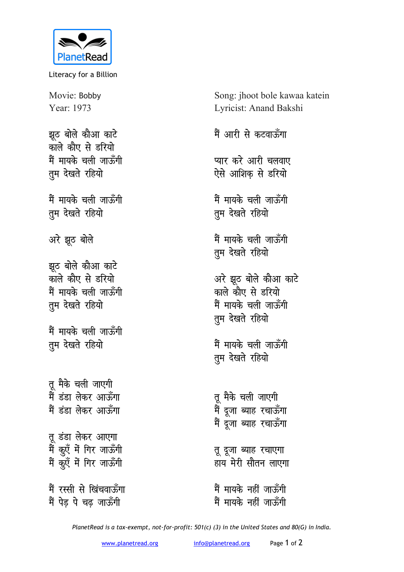

Literacy for a Billion

Movie: Bobby Year: 1973

*झू*ठ बोले कौआ काटे काले कौए से **डरियो** मैं मायके चली जाऊँगी **तुम देखते रहियो** 

मैं मायके चली जाऊँगी **तुम देखते रहियो** 

अरे झूठ बोले

झूठ बोले कौआ काटे <u>काले कौए से इरियो</u> **मैं मायके चली जा**रूँगी **तुम देखते रहियो** 

मैं मायके चली जाऊँगी तुम देखते रहियो

तू मैके चली जाएगी <u>मैं डंडा लेकर आर्फ़ेंगा</u> <u>मैं हंहा लेकर आफ़ँगा</u> तू डंडा लेकर आएगा में कुएँ में गिर जाऊँगी मैं कूएँ में गिर जाऊँगी मैं रस्सी से खिंचवा<del>ऊ</del>ँगा

मैं पेड पे चढ जाऊँगी

Song: jhoot bole kawaa katein Lyricist: Anand Bakshi

मैं आरी से कटवाऊँगा

**प्यार करे आरी चलवाए** ऐसे आशिक से **डरियो** 

मैं मायके चली जाऊँगी **तुम देखते रहियो** 

**मैं मायके चली जाऊँगी तुम देखते रहियो** 

अरे झूठ बोले कौआ काटे काले कौए से **इरियो** मैं मायके चली जाऊँगी **तुम देखते रहियो** 

मैं मायके चली जाऊँगी **तुम देखते रहियो** 

तू मैके चली जाएग<mark>ी</mark> मैं दूजा ब्याह रचाऊँग<u>ा</u> मैं दूजा ब्याह रचाऊँगा

**तु दुजा ब्याह रचाएगा** .....<br>हाय मेरी सौतन लाएगा

मैं मायके नहीं जाउँगी **में मायके नहीं जा**स्हँगी

*PlanetRead is a tax-exempt, not-for-profit: 501(c) (3) in the United States and 80(G) in India.*